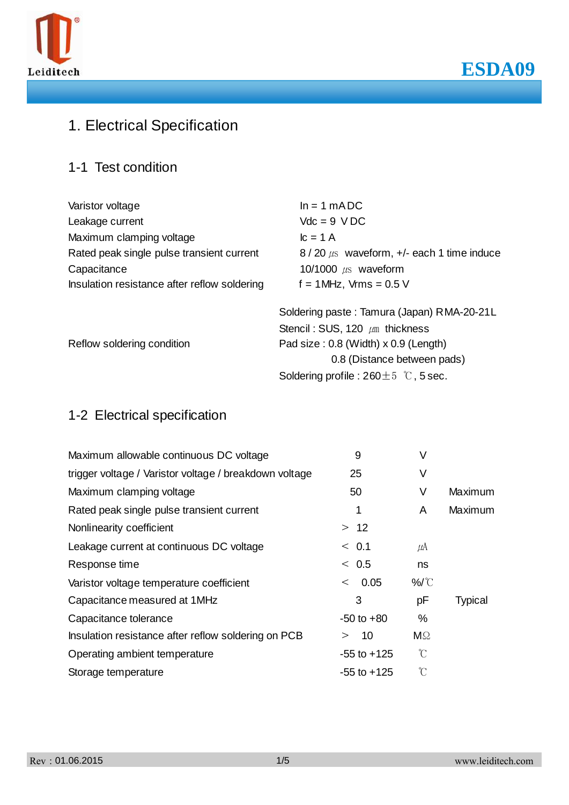



# 1. Electrical Specification

ESD

### 1-1 Test condition

| Varistor voltage                             | $ln = 1 mADC$                                   |  |  |
|----------------------------------------------|-------------------------------------------------|--|--|
| Leakage current                              | $Vdc = 9 VDC$                                   |  |  |
| Maximum clamping voltage                     | $lc = 1 A$                                      |  |  |
| Rated peak single pulse transient current    | $8/20 \mu s$ waveform, $+/-$ each 1 time induce |  |  |
| Capacitance                                  | 10/1000 $\mu$ s waveform                        |  |  |
| Insulation resistance after reflow soldering | $f = 1$ MHz, Vrms = 0.5 V                       |  |  |
|                                              | Soldering paste: Tamura (Japan) RMA-20-21L      |  |  |
|                                              | Stencil: SUS, 120 $\mu$ m thickness             |  |  |
| Reflow soldering condition                   | Pad size: 0.8 (Width) x 0.9 (Length)            |  |  |
|                                              | 0.8 (Distance between pads)                     |  |  |
|                                              | Soldering profile : $260 \pm 5$ °C, 5 sec.      |  |  |

### 1-2 Electrical specification

| Maximum allowable continuous DC voltage                | 9               | ٧             |                |
|--------------------------------------------------------|-----------------|---------------|----------------|
| trigger voltage / Varistor voltage / breakdown voltage | 25              | ٧             |                |
| Maximum clamping voltage                               | 50              | ٧             | Maximum        |
| Rated peak single pulse transient current              |                 | A             | Maximum        |
| Nonlinearity coefficient                               | > 12            |               |                |
| Leakage current at continuous DC voltage               | < 0.1           | $\mu$ A       |                |
| Response time                                          | < 0.5           | ns            |                |
| Varistor voltage temperature coefficient               | 0.05<br>$\,<\,$ | $\%$          |                |
| Capacitance measured at 1MHz                           | 3               | рF            | <b>Typical</b> |
| Capacitance tolerance                                  | $-50$ to $+80$  | $\%$          |                |
| Insulation resistance after reflow soldering on PCB    | 10<br>>         | $M\Omega$     |                |
| Operating ambient temperature                          | $-55$ to $+125$ | $\mathcal{C}$ |                |
| Storage temperature                                    | $-55$ to $+125$ | $\mathcal{C}$ |                |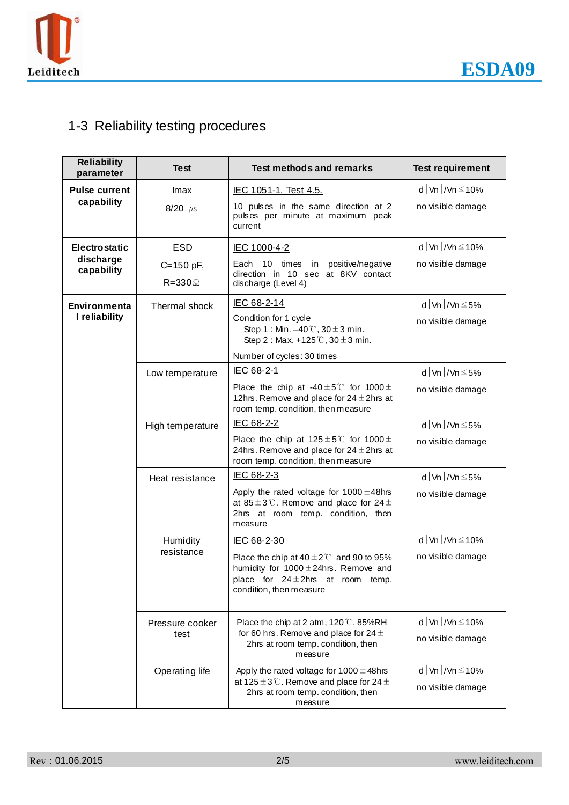

# 1-3 Reliability testing procedures

| <b>Reliability</b><br>parameter | <b>Test</b>                   | <b>Test methods and remarks</b>                                                                                                                                       | <b>Test requirement</b>                       |
|---------------------------------|-------------------------------|-----------------------------------------------------------------------------------------------------------------------------------------------------------------------|-----------------------------------------------|
| <b>Pulse current</b>            | Imax                          | IEC 1051-1, Test 4.5.                                                                                                                                                 | d   Vn   / Vn $\leq$ 10%                      |
| capability                      | $8/20$ $\mu$ s                | 10 pulses in the same direction at 2<br>pulses per minute at maximum peak<br>current                                                                                  | no visible damage                             |
| <b>Electrostatic</b>            | <b>ESD</b>                    | <b>IEC 1000-4-2</b>                                                                                                                                                   | d   Vn   / Vn $\leq$ 10%                      |
| discharge<br>capability         | C=150 pF,<br>$R = 330 \Omega$ | Each 10 times in positive/negative<br>direction in 10 sec at 8KV contact<br>discharge (Level 4)                                                                       | no visible damage                             |
| Environmenta                    | Thermal shock                 | IEC 68-2-14                                                                                                                                                           | d   Vn   / Vn $\leq$ 5%                       |
| I reliability                   |                               | Condition for 1 cycle<br>Step 1: Min. $-40\degree$ C, 30 $\pm$ 3 min.<br>Step 2 : Max. +125 $\degree$ C, 30 $\pm$ 3 min.                                              | no visible damage                             |
|                                 |                               | Number of cycles: 30 times                                                                                                                                            |                                               |
|                                 | Low temperature               | IEC 68-2-1                                                                                                                                                            | d   Vn   / Vn $\leq$ 5%                       |
|                                 |                               | Place the chip at -40 $\pm$ 5°C for 1000 $\pm$<br>12hrs. Remove and place for $24 \pm 2$ hrs at<br>room temp. condition, then measure                                 | no visible damage                             |
|                                 | High temperature              | IEC 68-2-2                                                                                                                                                            | d   Vn   / Vn $\leq$ 5%                       |
|                                 |                               | Place the chip at $125 \pm 5^{\circ}$ for $1000 \pm$<br>24hrs. Remove and place for $24 \pm 2$ hrs at<br>room temp. condition, then measure                           | no visible damage                             |
|                                 | Heat resistance               | IEC 68-2-3                                                                                                                                                            | d   Vn   / Vn $\leq$ 5%                       |
|                                 |                               | Apply the rated voltage for $1000 \pm 48$ hrs<br>at 85 $\pm$ 3°C. Remove and place for 24 $\pm$<br>2hrs at room temp. condition, then<br>measure                      | no visible damage                             |
|                                 | Humidity                      | IEC 68-2-30                                                                                                                                                           | d   Vn   / Vn $\leq$ 10%                      |
|                                 | resistance                    | Place the chip at $40 \pm 2^{\circ}$ and 90 to 95%<br>humidity for $1000 \pm 24$ hrs. Remove and<br>place for $24 \pm 2$ hrs at room temp.<br>condition, then measure | no visible damage                             |
|                                 | Pressure cooker<br>test       | Place the chip at 2 atm, $120\text{ }^{\circ}\text{C}$ , 85%RH<br>for 60 hrs. Remove and place for 24 $\pm$<br>2hrs at room temp. condition, then<br>measure          | d   Vn   / Vn $\leq$ 10%<br>no visible damage |
|                                 | Operating life                | Apply the rated voltage for $1000 \pm 48$ hrs<br>at 125 $\pm$ 3 $\degree$ . Remove and place for 24 $\pm$<br>2hrs at room temp. condition, then<br>measure            | d   Vn   / Vn $\leq$ 10%<br>no visible damage |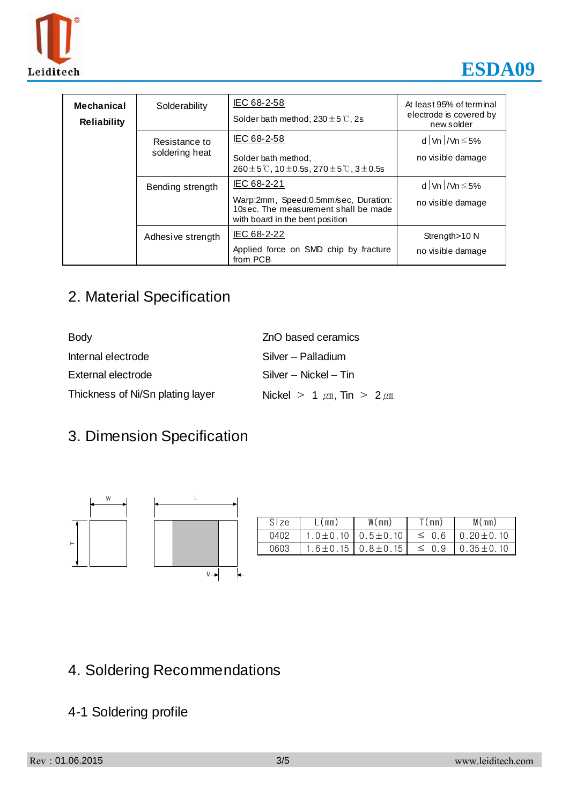



| Mechanical<br><b>Reliability</b> | Solderability                                                                      | IEC 68-2-58<br>Solder bath method, $230 \pm 5^{\circ}$ C, 2s                                                    | At least 95% of terminal<br>electrode is covered by<br>new solder |
|----------------------------------|------------------------------------------------------------------------------------|-----------------------------------------------------------------------------------------------------------------|-------------------------------------------------------------------|
|                                  | Resistance to                                                                      | IEC 68-2-58                                                                                                     | d   Vn   / Vn $\leq$ 5%                                           |
| soldering heat                   | Solder bath method,<br>$260 \pm 5$ °C, 10 $\pm$ 0.5s, 270 $\pm$ 5 °C, 3 $\pm$ 0.5s | no visible damage                                                                                               |                                                                   |
|                                  | Bending strength                                                                   | IEC 68-2-21                                                                                                     | d   Vn   / Vn $\leq$ 5%                                           |
|                                  |                                                                                    | Warp:2mm, Speed:0.5mm/sec, Duration:<br>10sec. The measurement shall be made<br>with board in the bent position | no visible damage                                                 |
|                                  | Adhesive strength                                                                  | IEC 68-2-22                                                                                                     | Strength > 10 N                                                   |
|                                  |                                                                                    | Applied force on SMD chip by fracture<br>from PCB                                                               | no visible damage                                                 |

# 2. Material Specification

| <b>Body</b>                      | ZnO based ceramics                  |  |  |
|----------------------------------|-------------------------------------|--|--|
| Internal electrode               | Silver – Palladium                  |  |  |
| External electrode               | Silver - Nickel - Tin               |  |  |
| Thickness of Ni/Sn plating layer | Nickel > 1 $\mu$ m, Tin > 2 $\mu$ m |  |  |

# 3. Dimension Specification



| Size | L(mm)         | W(mm)          | T (mm)     | M(mm)           |
|------|---------------|----------------|------------|-----------------|
| 0402 | $.0 \pm 0.10$ | $0.5 \pm 0.10$ | $\leq$ 0.6 | $0.20 \pm 0.10$ |
| 0603 | $.6 \pm 0.15$ | $0.8 \pm 0.15$ | $\leq 0.9$ | $0.35 \pm 0.10$ |

# 4. Soldering Recommendations

### 4-1 Soldering profile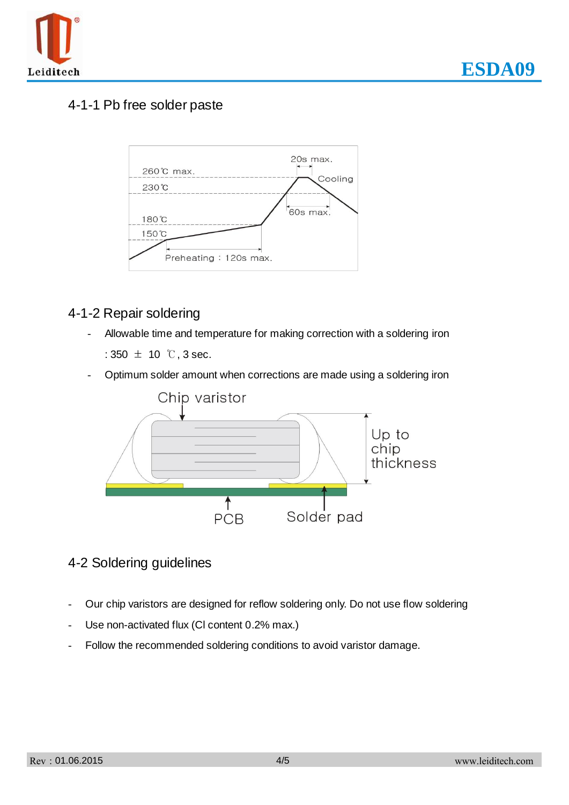

#### 4-1-1 Pb free solder paste



#### 4-1-2 Repair soldering

Allowable time and temperature for making correction with a soldering iron

:  $350 \pm 10$  °C, 3 sec.

- Optimum solder amount when corrections are made using a soldering iron



- 4-2 Soldering guidelines
- Our chip varistors are designed for reflow soldering only. Do not use flow soldering
- Use non-activated flux (CI content 0.2% max.)
- Follow the recommended soldering conditions to avoid varistor damage.